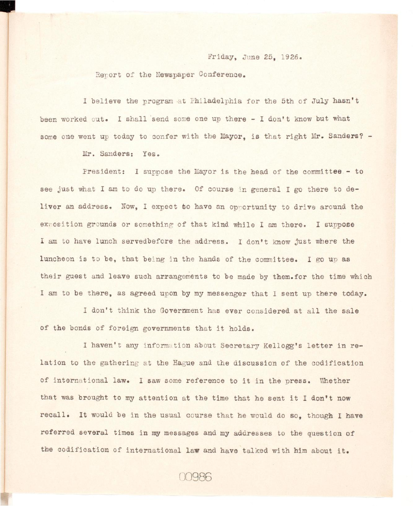## Friday, June 25, 1926.

Report of the Newspaper Conference.

I believe the program at Philadelphia for the 5th of July hasn't been worked out. I shall send some one up there - I don't know but what some one went up today to confer with the Mayor, is that right Mr. Sanders? -

Mr. Sanders: Yes.

President: I suppose the Mayor is the head of the committee - to see just what I am to do up there. Of course in general I go there to deliver an address. Now, I expect to have an opportunity to drive around the exposition grounds or something of that kind while I am there. I suppose I am to have lunch servedbefore the address. I don't know just where the luncheon is to be, that being in the hands of the committee. I go up as their guest and leave such arrangements to be made by them.for the time which I am to be there, as agreed upon by my messenger that I sent up there today.

I don't think the Government has ever considered at all the sale of the bonds of foreign governments that it holds.

I haven't any information about Secretary Kellogg's letter in relation to the gathering at the Hague and the discussion of the codification of international law. I saw some reference to it in the press. Whether that was brought to my attention at the time that he sent it I don't now recall. It would be in the usual course that he would do so, though I have referred several times in my messages and my addresses to the question of the codification of international law and have talked with him about it.

00986